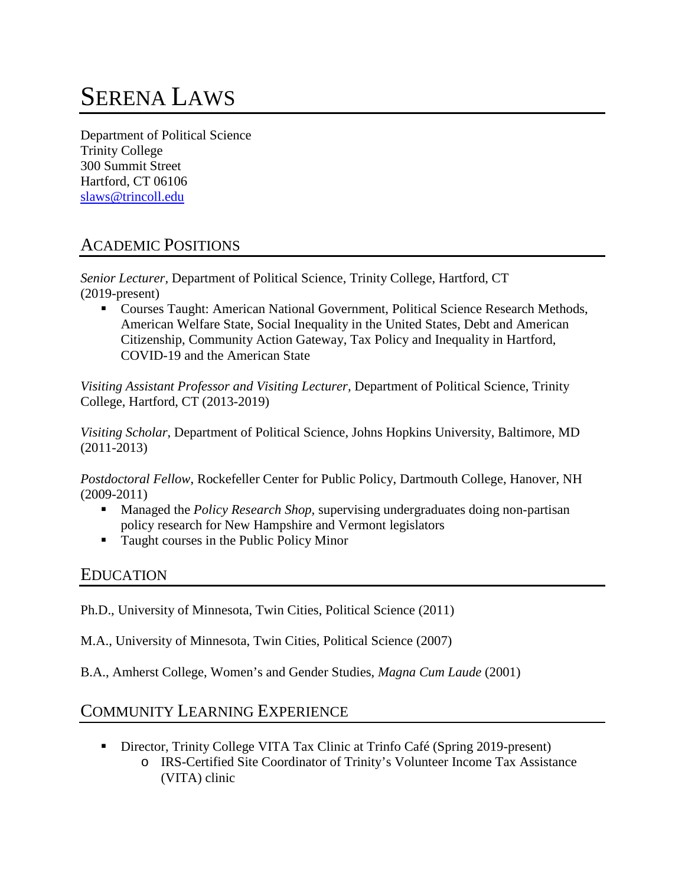# SERENA LAWS

Department of Political Science Trinity College 300 Summit Street Hartford, CT 06106 [slaws@trincoll.edu](mailto:slaws@trincoll.edu)

## ACADEMIC POSITIONS

*Senior Lecturer,* Department of Political Science, Trinity College, Hartford, CT (2019-present)

 Courses Taught: American National Government, Political Science Research Methods, American Welfare State, Social Inequality in the United States, Debt and American Citizenship, Community Action Gateway, Tax Policy and Inequality in Hartford, COVID-19 and the American State

*Visiting Assistant Professor and Visiting Lecturer,* Department of Political Science, Trinity College, Hartford, CT (2013-2019)

*Visiting Scholar*, Department of Political Science, Johns Hopkins University, Baltimore, MD (2011-2013)

*Postdoctoral Fellow*, Rockefeller Center for Public Policy, Dartmouth College, Hanover, NH (2009-2011)

- Managed the *Policy Research Shop,* supervising undergraduates doing non-partisan policy research for New Hampshire and Vermont legislators
- Taught courses in the Public Policy Minor

#### EDUCATION

Ph.D., University of Minnesota, Twin Cities, Political Science (2011)

M.A., University of Minnesota, Twin Cities, Political Science (2007)

B.A., Amherst College, Women's and Gender Studies, *Magna Cum Laude* (2001)

## COMMUNITY LEARNING EXPERIENCE

- Director, Trinity College VITA Tax Clinic at Trinfo Café (Spring 2019-present)
	- o IRS-Certified Site Coordinator of Trinity's Volunteer Income Tax Assistance (VITA) clinic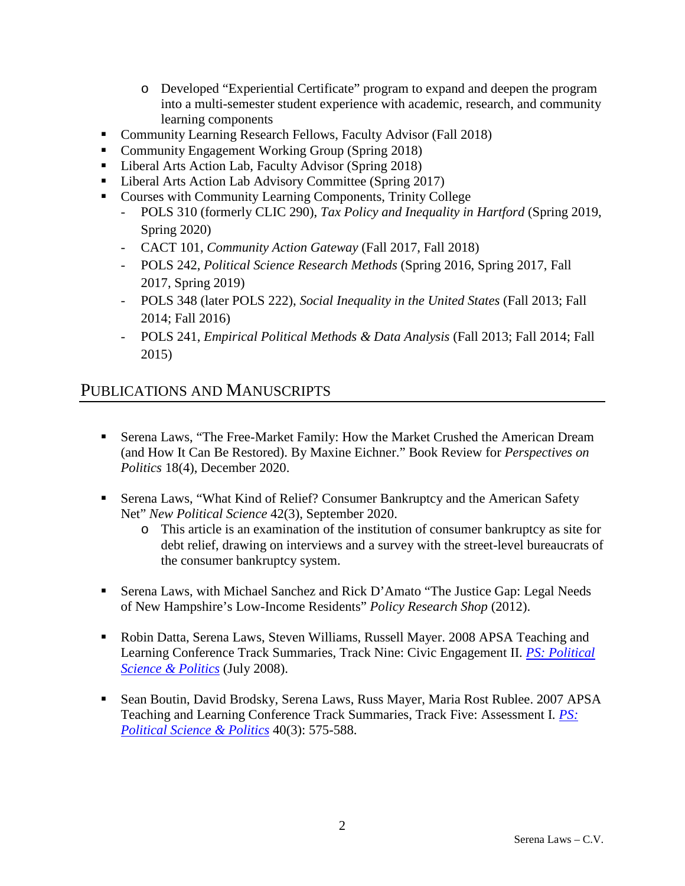- o Developed "Experiential Certificate" program to expand and deepen the program into a multi-semester student experience with academic, research, and community learning components
- **Community Learning Research Fellows, Faculty Advisor (Fall 2018)**
- Community Engagement Working Group (Spring 2018)
- Liberal Arts Action Lab, Faculty Advisor (Spring 2018)
- Liberal Arts Action Lab Advisory Committee (Spring 2017)
- Courses with Community Learning Components, Trinity College
	- POLS 310 (formerly CLIC 290), *Tax Policy and Inequality in Hartford* (Spring 2019, Spring 2020)
	- CACT 101, *Community Action Gateway* (Fall 2017, Fall 2018)
	- POLS 242, *Political Science Research Methods* (Spring 2016, Spring 2017, Fall 2017, Spring 2019)
	- POLS 348 (later POLS 222), *Social Inequality in the United States* (Fall 2013; Fall 2014; Fall 2016)
	- POLS 241, *Empirical Political Methods & Data Analysis* (Fall 2013; Fall 2014; Fall 2015)

## PUBLICATIONS AND MANUSCRIPTS

- Serena Laws, "The Free-Market Family: How the Market Crushed the American Dream (and How It Can Be Restored). By Maxine Eichner." Book Review for *Perspectives on Politics* 18(4), December 2020.
- Serena Laws, "What Kind of Relief? Consumer Bankruptcy and the American Safety Net" *New Political Science* 42(3), September 2020.
	- o This article is an examination of the institution of consumer bankruptcy as site for debt relief, drawing on interviews and a survey with the street-level bureaucrats of the consumer bankruptcy system.
- Serena Laws, with Michael Sanchez and Rick D'Amato "The Justice Gap: Legal Needs of New Hampshire's Low-Income Residents" *Policy Research Shop* (2012).
- Robin Datta, Serena Laws, Steven Williams, Russell Mayer. 2008 APSA Teaching and Learning Conference Track Summaries, Track Nine: Civic Engagement II. *[PS: Political](http://journals.cambridge.org.floyd.lib.umn.edu/action/displayJournal?jid=PSC)  [Science & Politics](http://journals.cambridge.org.floyd.lib.umn.edu/action/displayJournal?jid=PSC)* (July 2008).
- Sean Boutin, David Brodsky, Serena Laws, Russ Mayer, Maria Rost Rublee. 2007 APSA Teaching and Learning Conference Track Summaries, Track Five: Assessment I. *[PS:](http://journals.cambridge.org.floyd.lib.umn.edu/action/displayJournal?jid=PSC)  [Political Science & Politics](http://journals.cambridge.org.floyd.lib.umn.edu/action/displayJournal?jid=PSC)* 40(3): 575-588.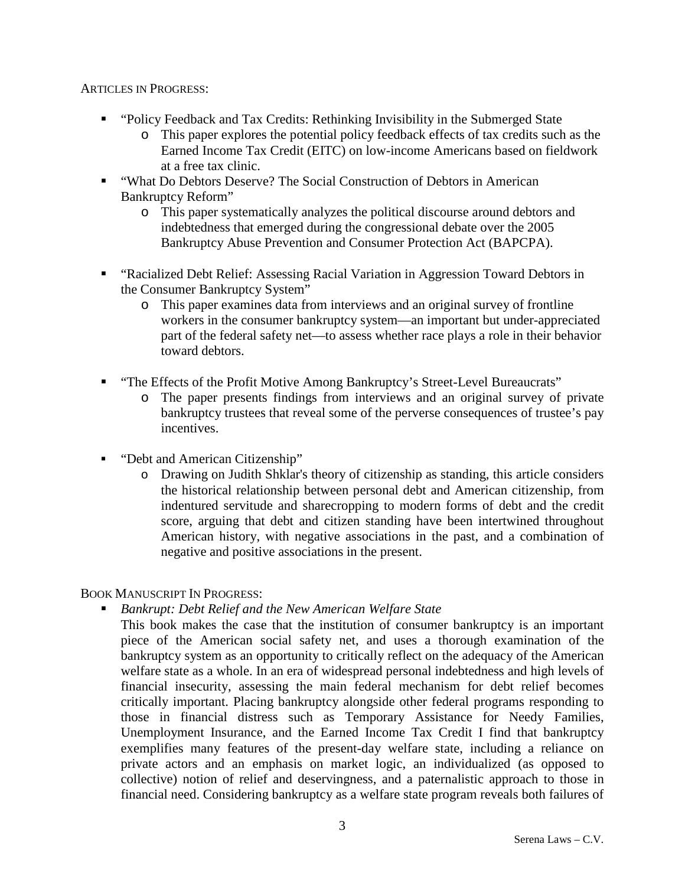#### ARTICLES IN PROGRESS:

- "Policy Feedback and Tax Credits: Rethinking Invisibility in the Submerged State
	- o This paper explores the potential policy feedback effects of tax credits such as the Earned Income Tax Credit (EITC) on low-income Americans based on fieldwork at a free tax clinic.
- "What Do Debtors Deserve? The Social Construction of Debtors in American Bankruptcy Reform"
	- o This paper systematically analyzes the political discourse around debtors and indebtedness that emerged during the congressional debate over the 2005 Bankruptcy Abuse Prevention and Consumer Protection Act (BAPCPA).
- "Racialized Debt Relief: Assessing Racial Variation in Aggression Toward Debtors in the Consumer Bankruptcy System"
	- o This paper examines data from interviews and an original survey of frontline workers in the consumer bankruptcy system—an important but under-appreciated part of the federal safety net—to assess whether race plays a role in their behavior toward debtors.
- "The Effects of the Profit Motive Among Bankruptcy's Street-Level Bureaucrats"
	- o The paper presents findings from interviews and an original survey of private bankruptcy trustees that reveal some of the perverse consequences of trustee's pay incentives.
- "Debt and American Citizenship"
	- o Drawing on Judith Shklar's theory of citizenship as standing, this article considers the historical relationship between personal debt and American citizenship, from indentured servitude and sharecropping to modern forms of debt and the credit score, arguing that debt and citizen standing have been intertwined throughout American history, with negative associations in the past, and a combination of negative and positive associations in the present.

#### BOOK MANUSCRIPT IN PROGRESS:

- *Bankrupt: Debt Relief and the New American Welfare State*
	- This book makes the case that the institution of consumer bankruptcy is an important piece of the American social safety net, and uses a thorough examination of the bankruptcy system as an opportunity to critically reflect on the adequacy of the American welfare state as a whole. In an era of widespread personal indebtedness and high levels of financial insecurity, assessing the main federal mechanism for debt relief becomes critically important. Placing bankruptcy alongside other federal programs responding to those in financial distress such as Temporary Assistance for Needy Families, Unemployment Insurance, and the Earned Income Tax Credit I find that bankruptcy exemplifies many features of the present-day welfare state, including a reliance on private actors and an emphasis on market logic, an individualized (as opposed to collective) notion of relief and deservingness, and a paternalistic approach to those in financial need. Considering bankruptcy as a welfare state program reveals both failures of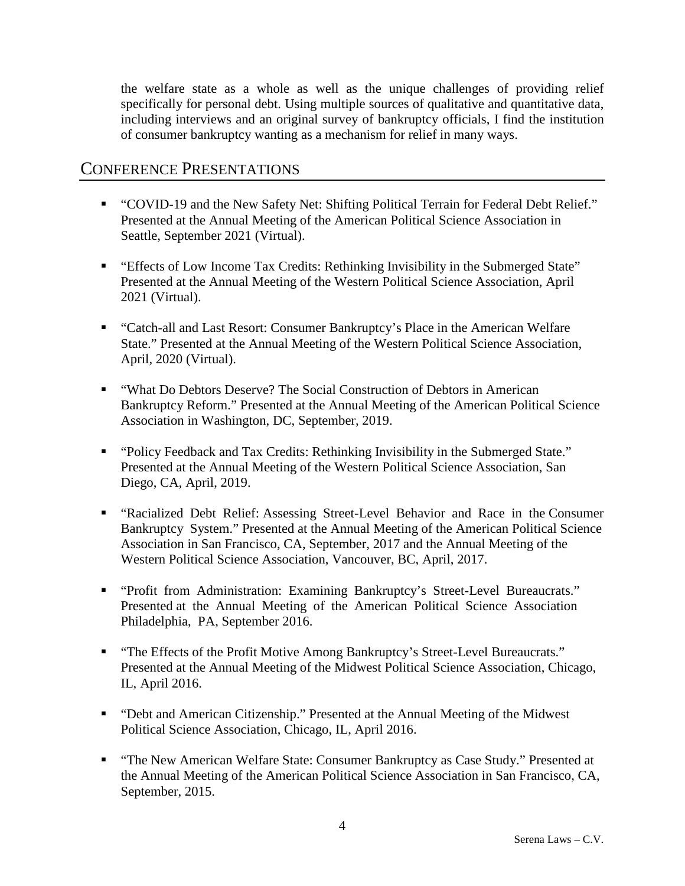the welfare state as a whole as well as the unique challenges of providing relief specifically for personal debt. Using multiple sources of qualitative and quantitative data, including interviews and an original survey of bankruptcy officials, I find the institution of consumer bankruptcy wanting as a mechanism for relief in many ways.

#### CONFERENCE PRESENTATIONS

- "COVID-19 and the New Safety Net: Shifting Political Terrain for Federal Debt Relief." Presented at the Annual Meeting of the American Political Science Association in Seattle, September 2021 (Virtual).
- "Effects of Low Income Tax Credits: Rethinking Invisibility in the Submerged State" Presented at the Annual Meeting of the Western Political Science Association, April 2021 (Virtual).
- "Catch-all and Last Resort: Consumer Bankruptcy's Place in the American Welfare State." Presented at the Annual Meeting of the Western Political Science Association, April, 2020 (Virtual).
- "What Do Debtors Deserve? The Social Construction of Debtors in American Bankruptcy Reform." Presented at the Annual Meeting of the American Political Science Association in Washington, DC, September, 2019.
- "Policy Feedback and Tax Credits: Rethinking Invisibility in the Submerged State." Presented at the Annual Meeting of the Western Political Science Association, San Diego, CA, April, 2019.
- "Racialized Debt Relief: Assessing Street-Level Behavior and Race in the Consumer Bankruptcy System." Presented at the Annual Meeting of the American Political Science Association in San Francisco, CA, September, 2017 and the Annual Meeting of the Western Political Science Association, Vancouver, BC, April, 2017.
- "Profit from Administration: Examining Bankruptcy's Street-Level Bureaucrats." Presented at the Annual Meeting of the American Political Science Association Philadelphia, PA, September 2016.
- "The Effects of the Profit Motive Among Bankruptcy's Street-Level Bureaucrats." Presented at the Annual Meeting of the Midwest Political Science Association, Chicago, IL, April 2016.
- "Debt and American Citizenship." Presented at the Annual Meeting of the Midwest Political Science Association, Chicago, IL, April 2016.
- "The New American Welfare State: Consumer Bankruptcy as Case Study." Presented at the Annual Meeting of the American Political Science Association in San Francisco, CA, September, 2015.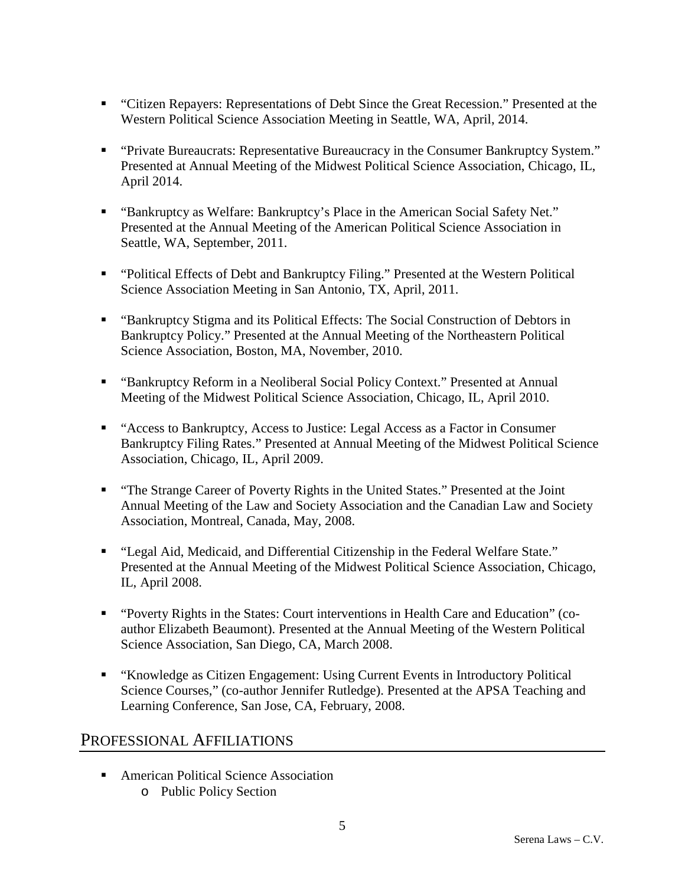- "Citizen Repayers: Representations of Debt Since the Great Recession." Presented at the Western Political Science Association Meeting in Seattle, WA, April, 2014.
- "Private Bureaucrats: Representative Bureaucracy in the Consumer Bankruptcy System." Presented at Annual Meeting of the Midwest Political Science Association, Chicago, IL, April 2014.
- "Bankruptcy as Welfare: Bankruptcy's Place in the American Social Safety Net." Presented at the Annual Meeting of the American Political Science Association in Seattle, WA, September, 2011.
- "Political Effects of Debt and Bankruptcy Filing." Presented at the Western Political Science Association Meeting in San Antonio, TX, April, 2011.
- "Bankruptcy Stigma and its Political Effects: The Social Construction of Debtors in Bankruptcy Policy." Presented at the Annual Meeting of the Northeastern Political Science Association, Boston, MA, November, 2010.
- "Bankruptcy Reform in a Neoliberal Social Policy Context." Presented at Annual Meeting of the Midwest Political Science Association, Chicago, IL, April 2010.
- "Access to Bankruptcy, Access to Justice: Legal Access as a Factor in Consumer Bankruptcy Filing Rates." Presented at Annual Meeting of the Midwest Political Science Association, Chicago, IL, April 2009.
- "The Strange Career of Poverty Rights in the United States." Presented at the Joint Annual Meeting of the Law and Society Association and the Canadian Law and Society Association, Montreal, Canada, May, 2008.
- "Legal Aid, Medicaid, and Differential Citizenship in the Federal Welfare State." Presented at the Annual Meeting of the Midwest Political Science Association, Chicago, IL, April 2008.
- "Poverty Rights in the States: Court interventions in Health Care and Education" (coauthor Elizabeth Beaumont). Presented at the Annual Meeting of the Western Political Science Association, San Diego, CA, March 2008.
- "Knowledge as Citizen Engagement: Using Current Events in Introductory Political Science Courses," (co-author Jennifer Rutledge). Presented at the APSA Teaching and Learning Conference, San Jose, CA, February, 2008.

## PROFESSIONAL AFFILIATIONS

■ American Political Science Association o Public Policy Section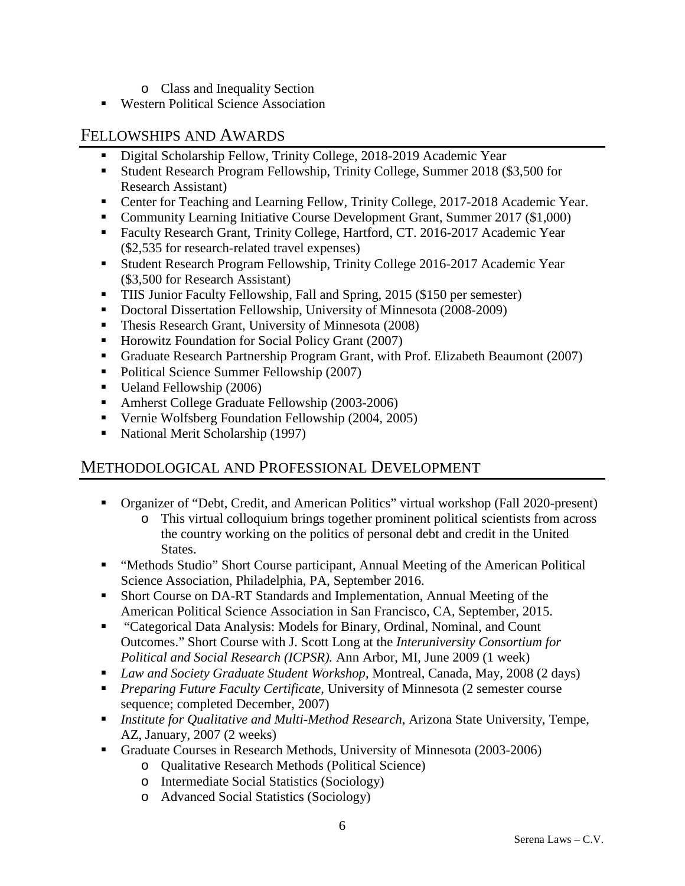- o Class and Inequality Section
- Western Political Science Association

#### FELLOWSHIPS AND AWARDS

- Digital Scholarship Fellow, Trinity College, 2018-2019 Academic Year
- Student Research Program Fellowship, Trinity College, Summer 2018 (\$3,500 for Research Assistant)
- Center for Teaching and Learning Fellow, Trinity College, 2017-2018 Academic Year.
- Community Learning Initiative Course Development Grant, Summer 2017 (\$1,000)
- Faculty Research Grant, Trinity College, Hartford, CT. 2016-2017 Academic Year (\$2,535 for research-related travel expenses)
- **Student Research Program Fellowship, Trinity College 2016-2017 Academic Year** (\$3,500 for Research Assistant)
- **TIIS Junior Faculty Fellowship, Fall and Spring, 2015 (\$150 per semester)**
- Doctoral Dissertation Fellowship, University of Minnesota (2008-2009)
- **Thesis Research Grant, University of Minnesota (2008)**
- Horowitz Foundation for Social Policy Grant (2007)
- Graduate Research Partnership Program Grant, with Prof. Elizabeth Beaumont (2007)
- Political Science Summer Fellowship (2007)
- Ueland Fellowship (2006)
- Amherst College Graduate Fellowship (2003-2006)
- Vernie Wolfsberg Foundation Fellowship (2004, 2005)
- National Merit Scholarship (1997)

## METHODOLOGICAL AND PROFESSIONAL DEVELOPMENT

- Organizer of "Debt, Credit, and American Politics" virtual workshop (Fall 2020-present)
	- o This virtual colloquium brings together prominent political scientists from across the country working on the politics of personal debt and credit in the United States.
- "Methods Studio" Short Course participant, Annual Meeting of the American Political Science Association, Philadelphia, PA, September 2016.
- Short Course on DA-RT Standards and Implementation, Annual Meeting of the American Political Science Association in San Francisco, CA, September, 2015.
- "Categorical Data Analysis: Models for Binary, Ordinal, Nominal, and Count Outcomes." Short Course with J. Scott Long at the *Interuniversity Consortium for Political and Social Research (ICPSR).* Ann Arbor, MI, June 2009 (1 week)
- *Law and Society Graduate Student Workshop*, Montreal, Canada, May, 2008 (2 days)
- *Preparing Future Faculty Certificate,* University of Minnesota (2 semester course sequence; completed December, 2007)
- *Institute for Qualitative and Multi-Method Research*, Arizona State University, Tempe, AZ, January, 2007 (2 weeks)
- Graduate Courses in Research Methods, University of Minnesota (2003-2006)
	- o Qualitative Research Methods (Political Science)
	- o Intermediate Social Statistics (Sociology)
	- o Advanced Social Statistics (Sociology)